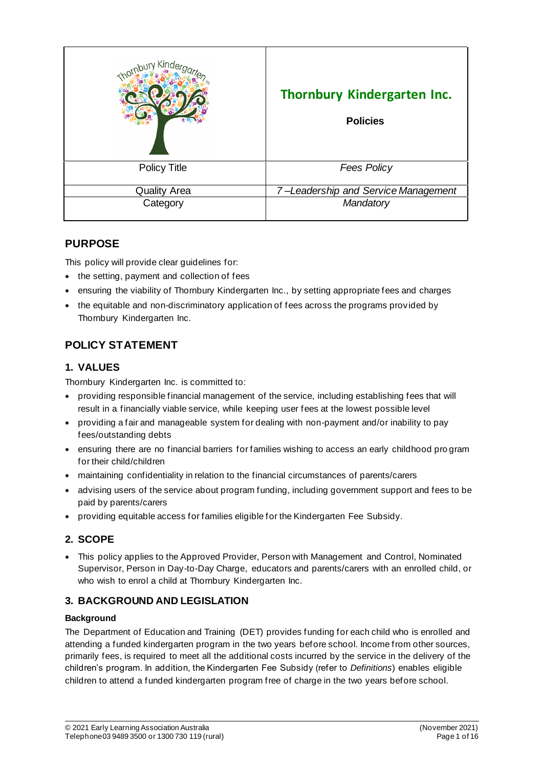| <i>Kinde</i>        | Thornbury Kindergarten Inc.<br><b>Policies</b> |
|---------------------|------------------------------------------------|
| <b>Policy Title</b> | <b>Fees Policy</b>                             |
| <b>Quality Area</b> | 7-Leadership and Service Management            |
| Category            | Mandatory                                      |

# **PURPOSE**

This policy will provide clear guidelines for:

- the setting, payment and collection of fees
- ensuring the viability of Thornbury Kindergarten Inc., by setting appropriate fees and charges
- the equitable and non-discriminatory application of fees across the programs provided by Thornbury Kindergarten Inc.

# **POLICY STATEMENT**

## **1. VALUES**

Thornbury Kindergarten Inc. is committed to:

- providing responsible financial management of the service, including establishing fees that will result in a financially viable service, while keeping user fees at the lowest possible level
- providing a fair and manageable system for dealing with non-payment and/or inability to pay fees/outstanding debts
- ensuring there are no financial barriers for families wishing to access an early childhood pro gram for their child/children
- maintaining confidentiality in relation to the financial circumstances of parents/carers
- advising users of the service about program funding, including government support and fees to be paid by parents/carers
- providing equitable access for families eligible for the Kindergarten Fee Subsidy.

# **2. SCOPE**

• This policy applies to the Approved Provider, Person with Management and Control, Nominated Supervisor, Person in Day-to-Day Charge, educators and parents/carers with an enrolled child, or who wish to enrol a child at Thornbury Kindergarten Inc.

# **3. BACKGROUND AND LEGISLATION**

#### **Background**

The Department of Education and Training (DET) provides funding for each child who is enrolled and attending a funded kindergarten program in the two years before school. Income from other sources, primarily fees, is required to meet all the additional costs incurred by the service in the delivery of the children's program. In addition, the Kindergarten Fee Subsidy (refer to *Definitions*) enables eligible children to attend a funded kindergarten program free of charge in the two years before school.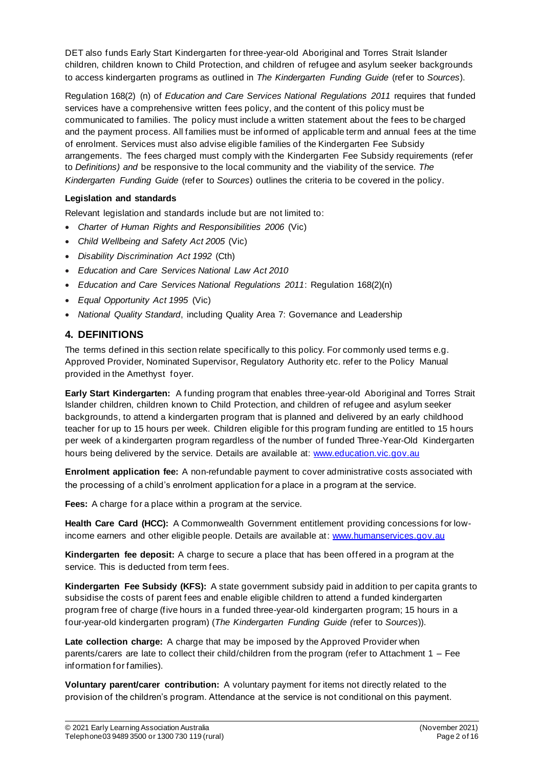DET also funds Early Start Kindergarten for three-year-old Aboriginal and Torres Strait Islander children, children known to Child Protection, and children of refugee and asylum seeker backgrounds to access kindergarten programs as outlined in *The Kindergarten Funding Guide* (refer to *Sources*).

Regulation 168(2) (n) of *Education and Care Services National Regulations 2011* requires that funded services have a comprehensive written fees policy, and the content of this policy must be communicated to families. The policy must include a written statement about the fees to be charged and the payment process. All families must be informed of applicable term and annual fees at the time of enrolment. Services must also advise eligible families of the Kindergarten Fee Subsidy arrangements. The fees charged must comply with the Kindergarten Fee Subsidy requirements (refer to *Definitions) and* be responsive to the local community and the viability of the service. *The Kindergarten Funding Guide* (refer to *Sources*) outlines the criteria to be covered in the policy.

### **Legislation and standards**

Relevant legislation and standards include but are not limited to:

- *Charter of Human Rights and Responsibilities 2006* (Vic)
- *Child Wellbeing and Safety Act 2005* (Vic)
- *Disability Discrimination Act 1992* (Cth)
- *Education and Care Services National Law Act 2010*
- *Education and Care Services National Regulations 2011*: Regulation 168(2)(n)
- *Equal Opportunity Act 1995* (Vic)
- *National Quality Standard*, including Quality Area 7: Governance and Leadership

## **4. DEFINITIONS**

The terms defined in this section relate specifically to this policy. For commonly used terms e.g. Approved Provider, Nominated Supervisor, Regulatory Authority etc. refer to the Policy Manual provided in the Amethyst foyer.

**Early Start Kindergarten:** A funding program that enables three-year-old Aboriginal and Torres Strait Islander children, children known to Child Protection, and children of refugee and asylum seeker backgrounds, to attend a kindergarten program that is planned and delivered by an early childhood teacher for up to 15 hours per week. Children eligible for this program funding are entitled to 15 hours per week of a kindergarten program regardless of the number of funded Three-Year-Old Kindergarten hours being delivered by the service. Details are available at: www.education.vic.gov.au

**Enrolment application fee:** A non-refundable payment to cover administrative costs associated with the processing of a child's enrolment application for a place in a program at the service.

**Fees:** A charge for a place within a program at the service.

**Health Care Card (HCC):** A Commonwealth Government entitlement providing concessions for lowincome earners and other eligible people. Details are available at: www.humanservices.gov.au

**Kindergarten fee deposit:** A charge to secure a place that has been offered in a program at the service. This is deducted from term fees.

**Kindergarten Fee Subsidy (KFS):** A state government subsidy paid in addition to per capita grants to subsidise the costs of parent fees and enable eligible children to attend a funded kindergarten program free of charge (five hours in a funded three-year-old kindergarten program; 15 hours in a four-year-old kindergarten program) (*The Kindergarten Funding Guide (*refer to *Sources*)).

**Late collection charge:** A charge that may be imposed by the Approved Provider when parents/carers are late to collect their child/children from the program (refer to Attachment 1 – Fee information for families).

**Voluntary parent/carer contribution:** A voluntary payment for items not directly related to the provision of the children's program. Attendance at the service is not conditional on this payment.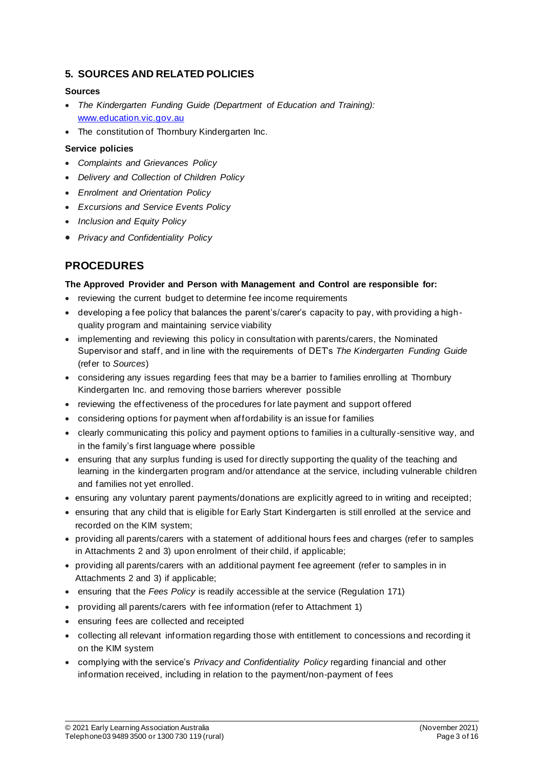## **5. SOURCES AND RELATED POLICIES**

#### **Sources**

- *The Kindergarten Funding Guide (Department of Education and Training):* www.education.vic.gov.au
- The constitution of Thornbury Kindergarten Inc.

#### **Service policies**

- *Complaints and Grievances Policy*
- *Delivery and Collection of Children Policy*
- *Enrolment and Orientation Policy*
- *Excursions and Service Events Policy*
- *Inclusion and Equity Policy*
- *Privacy and Confidentiality Policy*

# **PROCEDURES**

#### **The Approved Provider and Person with Management and Control are responsible for:**

- reviewing the current budget to determine fee income requirements
- developing a fee policy that balances the parent's/carer's capacity to pay, with providing a highquality program and maintaining service viability
- implementing and reviewing this policy in consultation with parents/carers, the Nominated Supervisor and staff, and in line with the requirements of DET's *The Kindergarten Funding Guide*  (refer to *Sources*)
- considering any issues regarding fees that may be a barrier to families enrolling at Thornbury Kindergarten Inc. and removing those barriers wherever possible
- reviewing the effectiveness of the procedures for late payment and support offered
- considering options for payment when affordability is an issue for families
- clearly communicating this policy and payment options to families in a culturally -sensitive way, and in the family's first language where possible
- ensuring that any surplus funding is used for directly supporting the quality of the teaching and learning in the kindergarten program and/or attendance at the service, including vulnerable children and families not yet enrolled.
- ensuring any voluntary parent payments/donations are explicitly agreed to in writing and receipted;
- ensuring that any child that is eligible for Early Start Kindergarten is still enrolled at the service and recorded on the KIM system;
- providing all parents/carers with a statement of additional hours fees and charges (refer to samples in Attachments 2 and 3) upon enrolment of their child, if applicable;
- providing all parents/carers with an additional payment fee agreement (refer to samples in in Attachments 2 and 3) if applicable;
- ensuring that the *Fees Policy* is readily accessible at the service (Regulation 171)
- providing all parents/carers with fee information (refer to Attachment 1)
- ensuring fees are collected and receipted
- collecting all relevant information regarding those with entitlement to concessions and recording it on the KIM system
- complying with the service's *Privacy and Confidentiality Policy* regarding financial and other information received, including in relation to the payment/non-payment of fees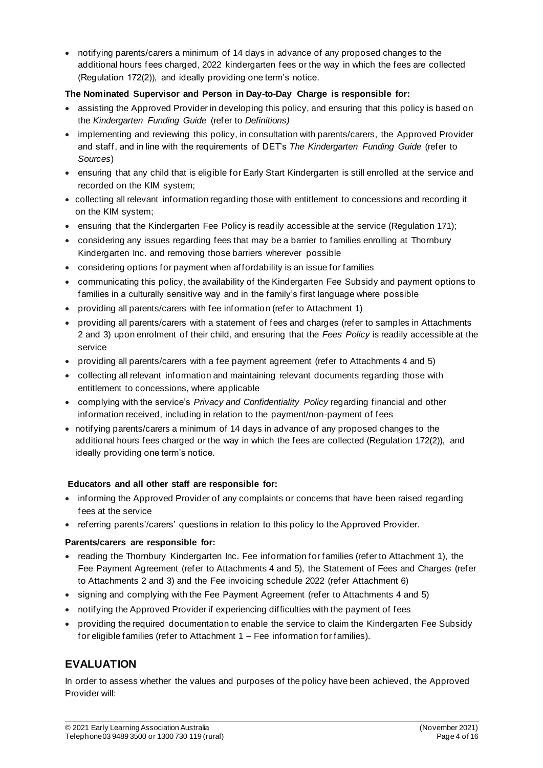• notifying parents/carers a minimum of 14 days in advance of any proposed changes to the additional hours fees charged, 2022 kindergarten fees or the way in which the fees are collected (Regulation 172(2)), and ideally providing one term's notice.

### **The Nominated Supervisor and Person in Day-to-Day Charge is responsible for:**

- assisting the Approved Provider in developing this policy, and ensuring that this policy is based on the *Kindergarten Funding Guide* (refer to *Definitions)*
- implementing and reviewing this policy, in consultation with parents/carers, the Approved Provider and staff, and in line with the requirements of DET's *The Kindergarten Funding Guide* (refer to *Sources*)
- ensuring that any child that is eligible for Early Start Kindergarten is still enrolled at the service and recorded on the KIM system;
- collecting all relevant information regarding those with entitlement to concessions and recording it on the KIM system;
- ensuring that the Kindergarten Fee Policy is readily accessible at the service (Regulation 171);
- considering any issues regarding fees that may be a barrier to families enrolling at Thornbury Kindergarten Inc. and removing those barriers wherever possible
- considering options for payment when affordability is an issue for families
- communicating this policy, the availability of the Kindergarten Fee Subsidy and payment options to families in a culturally sensitive way and in the family's first language where possible
- providing all parents/carers with fee information (refer to Attachment 1)
- providing all parents/carers with a statement of fees and charges (refer to samples in Attachments 2 and 3) upon enrolment of their child, and ensuring that the *Fees Policy* is readily accessible at the service
- providing all parents/carers with a fee payment agreement (refer to Attachments 4 and 5)
- collecting all relevant information and maintaining relevant documents regarding those with entitlement to concessions, where applicable
- complying with the service's *Privacy and Confidentiality Policy* regarding financial and other information received, including in relation to the payment/non-payment of fees
- notifying parents/carers a minimum of 14 days in advance of any proposed changes to the additional hours fees charged or the way in which the fees are collected (Regulation 172(2)), and ideally providing one term's notice.

### **Educators and all other staff are responsible for:**

- informing the Approved Provider of any complaints or concerns that have been raised regarding fees at the service
- referring parents'/carers' questions in relation to this policy to the Approved Provider.

#### **Parents/carers are responsible for:**

- reading the Thornbury Kindergarten Inc. Fee information for families (refer to Attachment 1), the Fee Payment Agreement (refer to Attachments 4 and 5), the Statement of Fees and Charges (refer to Attachments 2 and 3) and the Fee invoicing schedule 2022 (refer Attachment 6)
- signing and complying with the Fee Payment Agreement (refer to Attachments 4 and 5)
- notifying the Approved Provider if experiencing difficulties with the payment of fees
- providing the required documentation to enable the service to claim the Kindergarten Fee Subsidy for eligible families (refer to Attachment 1 – Fee information for families).

# **EVALUATION**

In order to assess whether the values and purposes of the policy have been achieved, the Approved Provider will: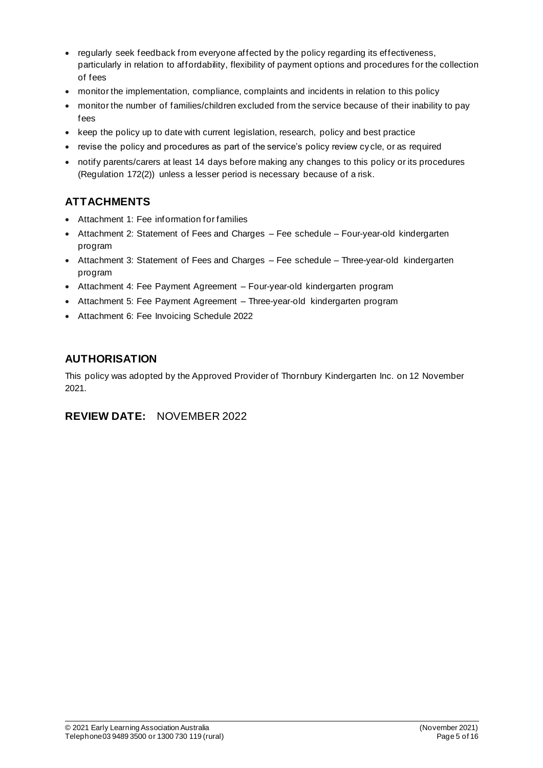- regularly seek feedback from everyone affected by the policy regarding its effectiveness, particularly in relation to affordability, flexibility of payment options and procedures for the collection of fees
- monitor the implementation, compliance, complaints and incidents in relation to this policy
- monitor the number of families/children excluded from the service because of their inability to pay fees
- keep the policy up to date with current legislation, research, policy and best practice
- revise the policy and procedures as part of the service's policy review cy cle, or as required
- notify parents/carers at least 14 days before making any changes to this policy or its procedures (Regulation 172(2)) unless a lesser period is necessary because of a risk.

# **ATTACHMENTS**

- Attachment 1: Fee information for families
- Attachment 2: Statement of Fees and Charges Fee schedule Four-year-old kindergarten program
- Attachment 3: Statement of Fees and Charges Fee schedule Three-year-old kindergarten program
- Attachment 4: Fee Payment Agreement Four-year-old kindergarten program
- Attachment 5: Fee Payment Agreement Three-year-old kindergarten program
- Attachment 6: Fee Invoicing Schedule 2022

# **AUTHORISATION**

This policy was adopted by the Approved Provider of Thornbury Kindergarten Inc. on 12 November 2021.

# **REVIEW DATE:** NOVEMBER 2022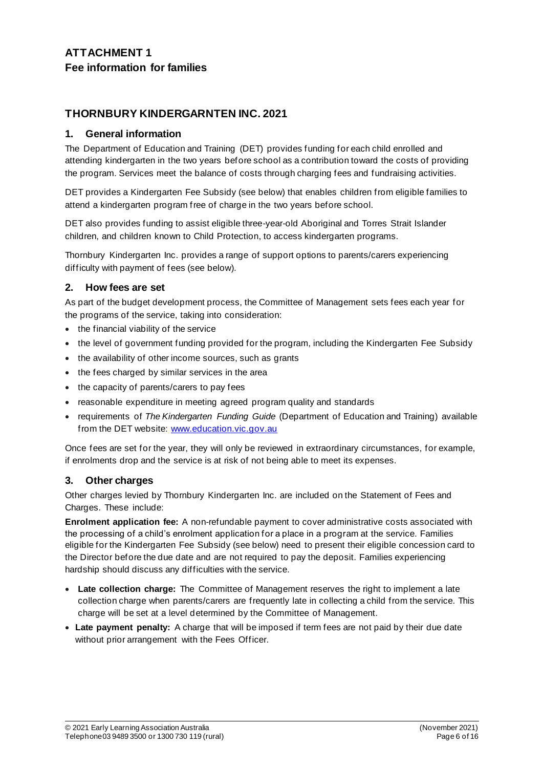# **ATTACHMENT 1 Fee information for families**

# **THORNBURY KINDERGARNTEN INC. 2021**

## **1. General information**

The Department of Education and Training (DET) provides funding for each child enrolled and attending kindergarten in the two years before school as a contribution toward the costs of providing the program. Services meet the balance of costs through charging fees and fundraising activities.

DET provides a Kindergarten Fee Subsidy (see below) that enables children from eligible families to attend a kindergarten program free of charge in the two years before school.

DET also provides funding to assist eligible three-year-old Aboriginal and Torres Strait Islander children, and children known to Child Protection, to access kindergarten programs.

Thornbury Kindergarten Inc. provides a range of support options to parents/carers experiencing difficulty with payment of fees (see below).

### **2. How fees are set**

As part of the budget development process, the Committee of Management sets fees each year for the programs of the service, taking into consideration:

- the financial viability of the service
- the level of government funding provided for the program, including the Kindergarten Fee Subsidy
- the availability of other income sources, such as grants
- the fees charged by similar services in the area
- the capacity of parents/carers to pay fees
- reasonable expenditure in meeting agreed program quality and standards
- requirements of *The Kindergarten Funding Guide* (Department of Education and Training) available from the DET website: www.education.vic.gov.au

Once fees are set for the year, they will only be reviewed in extraordinary circumstances, for example, if enrolments drop and the service is at risk of not being able to meet its expenses.

### **3. Other charges**

Other charges levied by Thornbury Kindergarten Inc. are included on the Statement of Fees and Charges. These include:

**Enrolment application fee:** A non-refundable payment to cover administrative costs associated with the processing of a child's enrolment application for a place in a program at the service. Families eligible for the Kindergarten Fee Subsidy (see below) need to present their eligible concession card to the Director before the due date and are not required to pay the deposit. Families experiencing hardship should discuss any difficulties with the service.

- **Late collection charge:** The Committee of Management reserves the right to implement a late collection charge when parents/carers are frequently late in collecting a child from the service. This charge will be set at a level determined by the Committee of Management.
- **Late payment penalty:** A charge that will be imposed if term fees are not paid by their due date without prior arrangement with the Fees Officer.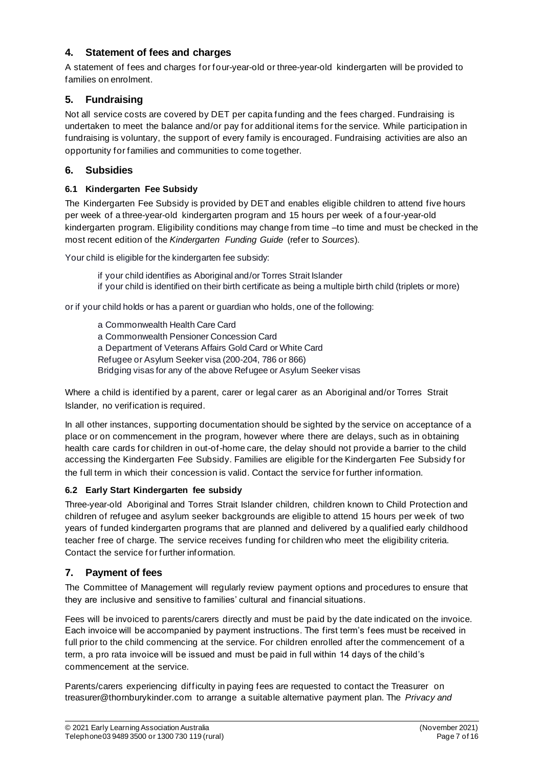## **4. Statement of fees and charges**

A statement of fees and charges for four-year-old or three-year-old kindergarten will be provided to families on enrolment.

## **5. Fundraising**

Not all service costs are covered by DET per capita funding and the fees charged. Fundraising is undertaken to meet the balance and/or pay for additional items for the service. While participation in fundraising is voluntary, the support of every family is encouraged. Fundraising activities are also an opportunity for families and communities to come together.

### **6. Subsidies**

### **6.1 Kindergarten Fee Subsidy**

The Kindergarten Fee Subsidy is provided by DET and enables eligible children to attend five hours per week of a three-year-old kindergarten program and 15 hours per week of a four-year-old kindergarten program. Eligibility conditions may change from time -to time and must be checked in the most recent edition of the *Kindergarten Funding Guide* (refer to *Sources*).

Your child is eligible for the kindergarten fee subsidy:

- if your child identifies as Aboriginal and/or Torres Strait Islander
- if your child is identified on their birth certificate as being a multiple birth child (triplets or more)

or if your child holds or has a parent or guardian who holds, one of the following:

a Commonwealth Health Care Card a Commonwealth Pensioner Concession Card a Department of Veterans Affairs Gold Card or White Card Refugee or Asylum Seeker visa (200-204, 786 or 866) Bridging visas for any of the above Refugee or Asylum Seeker visas

Where a child is identified by a parent, carer or legal carer as an Aboriginal and/or Torres Strait Islander, no verification is required.

In all other instances, supporting documentation should be sighted by the service on acceptance of a place or on commencement in the program, however where there are delays, such as in obtaining health care cards for children in out-of-home care, the delay should not provide a barrier to the child accessing the Kindergarten Fee Subsidy. Families are eligible for the Kindergarten Fee Subsidy for the full term in which their concession is valid. Contact the service for further information.

### **6.2 Early Start Kindergarten fee subsidy**

Three-year-old Aboriginal and Torres Strait Islander children, children known to Child Protection and children of refugee and asylum seeker backgrounds are eligible to attend 15 hours per week of two years of funded kindergarten programs that are planned and delivered by a qualified early childhood teacher free of charge. The service receives funding for children who meet the eligibility criteria. Contact the service for further information.

### **7. Payment of fees**

The Committee of Management will regularly review payment options and procedures to ensure that they are inclusive and sensitive to families' cultural and financial situations.

Fees will be invoiced to parents/carers directly and must be paid by the date indicated on the invoice. Each invoice will be accompanied by payment instructions. The first term's fees must be received in full prior to the child commencing at the service. For children enrolled after the commencement of a term, a pro rata invoice will be issued and must be paid in full within 14 days of the child's commencement at the service.

Parents/carers experiencing difficulty in paying fees are requested to contact the Treasurer on treasurer@thornburykinder.com to arrange a suitable alternative payment plan. The *Privacy and*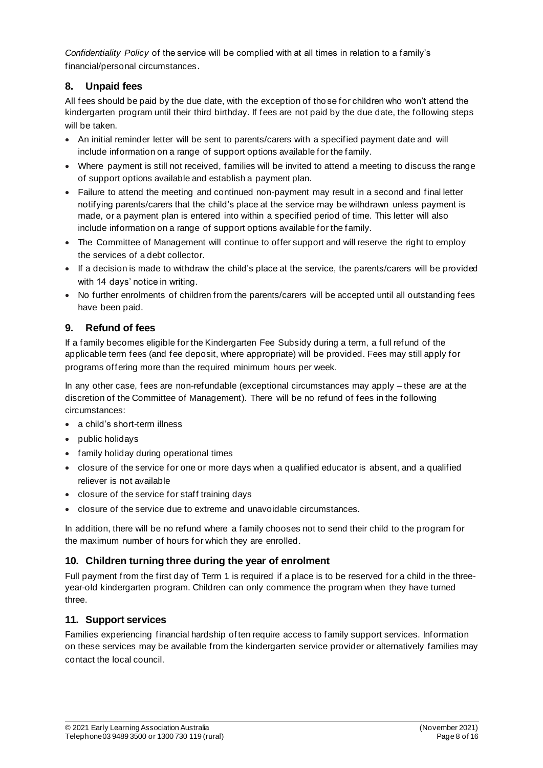*Confidentiality Policy* of the service will be complied with at all times in relation to a family's financial/personal circumstances.

## **8. Unpaid fees**

All fees should be paid by the due date, with the exception of tho se for children who won't attend the kindergarten program until their third birthday. If fees are not paid by the due date, the following steps will be taken.

- An initial reminder letter will be sent to parents/carers with a specified payment date and will include information on a range of support options available for the family.
- Where payment is still not received, families will be invited to attend a meeting to discuss the range of support options available and establish a payment plan.
- Failure to attend the meeting and continued non-payment may result in a second and final letter notifying parents/carers that the child's place at the service may be withdrawn unless payment is made, or a payment plan is entered into within a specified period of time. This letter will also include information on a range of support options available for the family.
- The Committee of Management will continue to offer support and will reserve the right to employ the services of a debt collector.
- If a decision is made to withdraw the child's place at the service, the parents/carers will be provided with 14 days' notice in writing.
- No further enrolments of children from the parents/carers will be accepted until all outstanding fees have been paid.

## **9. Refund of fees**

If a family becomes eligible for the Kindergarten Fee Subsidy during a term, a full refund of the applicable term fees (and fee deposit, where appropriate) will be provided. Fees may still apply for programs offering more than the required minimum hours per week.

In any other case, fees are non-refundable (exceptional circumstances may apply – these are at the discretion of the Committee of Management). There will be no refund of fees in the following circumstances:

- a child's short-term illness
- public holidays
- family holiday during operational times
- closure of the service for one or more days when a qualified educator is absent, and a qualified reliever is not available
- closure of the service for staff training days
- closure of the service due to extreme and unavoidable circumstances.

In addition, there will be no refund where a family chooses not to send their child to the program for the maximum number of hours for which they are enrolled.

#### **10. Children turning three during the year of enrolment**

Full payment from the first day of Term 1 is required if a place is to be reserved for a child in the threeyear-old kindergarten program. Children can only commence the program when they have turned three.

#### **11. Support services**

Families experiencing financial hardship of ten require access to family support services. Information on these services may be available from the kindergarten service provider or alternatively families may contact the local council.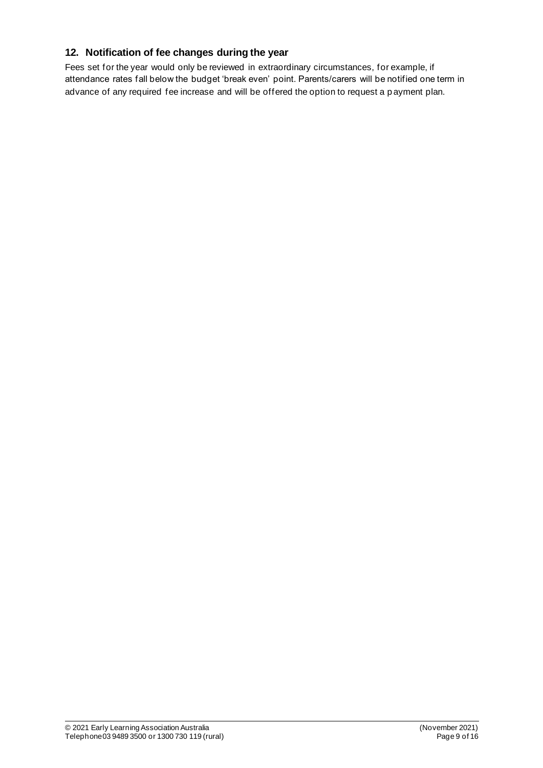# **12. Notification of fee changes during the year**

Fees set for the year would only be reviewed in extraordinary circumstances, for example, if attendance rates fall below the budget 'break even' point. Parents/carers will be notified one term in advance of any required fee increase and will be offered the option to request a p ayment plan.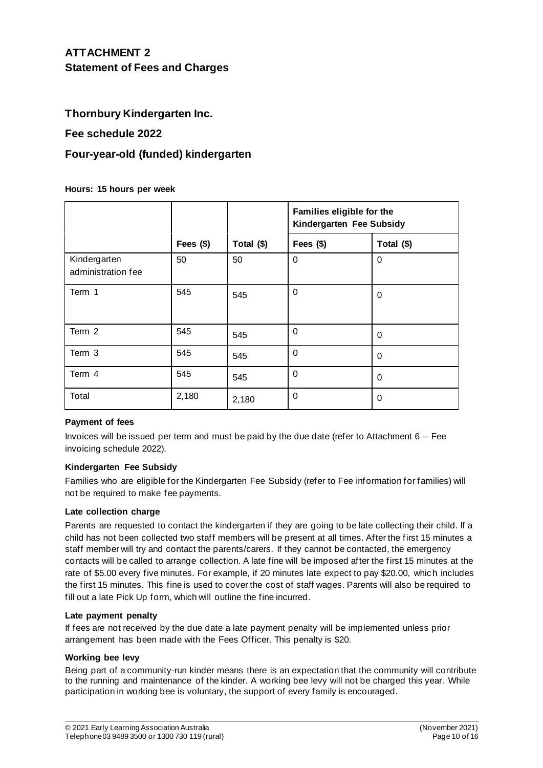# **ATTACHMENT 2 Statement of Fees and Charges**

## **Thornbury Kindergarten Inc.**

### **Fee schedule 2022**

## **Four-year-old (funded) kindergarten**

**Hours: 15 hours per week**

|                                    |           |            | Families eligible for the<br>Kindergarten Fee Subsidy |            |
|------------------------------------|-----------|------------|-------------------------------------------------------|------------|
|                                    | Fees (\$) | Total (\$) | Fees (\$)                                             | Total (\$) |
| Kindergarten<br>administration fee | 50        | 50         | 0                                                     | 0          |
| Term 1                             | 545       | 545        | $\Omega$                                              | 0          |
| Term 2                             | 545       | 545        | 0                                                     | 0          |
| Term 3                             | 545       | 545        | $\Omega$                                              | 0          |
| Term 4                             | 545       | 545        | $\Omega$                                              | 0          |
| Total                              | 2,180     | 2,180      | 0                                                     | 0          |

#### **Payment of fees**

Invoices will be issued per term and must be paid by the due date (refer to Attachment  $6 - Fe$ ) invoicing schedule 2022).

#### **Kindergarten Fee Subsidy**

Families who are eligible for the Kindergarten Fee Subsidy (refer to Fee information for families) will not be required to make fee payments.

#### **Late collection charge**

Parents are requested to contact the kindergarten if they are going to be late collecting their child. If a child has not been collected two staff members will be present at all times. After the first 15 minutes a staff member will try and contact the parents/carers. If they cannot be contacted, the emergency contacts will be called to arrange collection. A late fine will be imposed after the first 15 minutes at the rate of \$5.00 every five minutes. For example, if 20 minutes late expect to pay \$20.00, which includes the first 15 minutes. This fine is used to cover the cost of staff wages. Parents will also be required to fill out a late Pick Up form, which will outline the fine incurred.

#### **Late payment penalty**

If fees are not received by the due date a late payment penalty will be implemented unless prior arrangement has been made with the Fees Officer. This penalty is \$20.

#### **Working bee levy**

Being part of a community-run kinder means there is an expectation that the community will contribute to the running and maintenance of the kinder. A working bee levy will not be charged this year. While participation in working bee is voluntary, the support of every family is encouraged.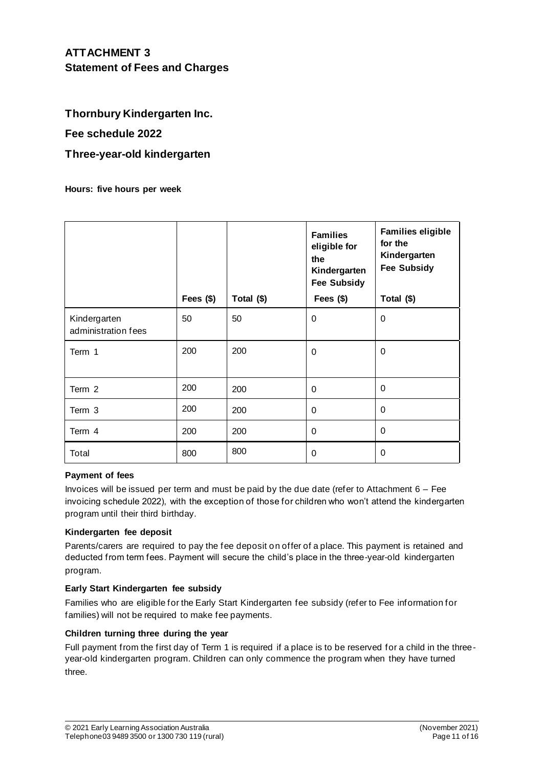## **Thornbury Kindergarten Inc.**

### **Fee schedule 2022**

### **Three-year-old kindergarten**

**Hours: five hours per week**

|                                     | Fees $($)$ | Total (\$) | <b>Families</b><br>eligible for<br>the<br>Kindergarten<br><b>Fee Subsidy</b><br>Fees $($)$ | <b>Families eligible</b><br>for the<br>Kindergarten<br><b>Fee Subsidy</b><br>Total (\$) |
|-------------------------------------|------------|------------|--------------------------------------------------------------------------------------------|-----------------------------------------------------------------------------------------|
| Kindergarten<br>administration fees | 50         | 50         | $\mathbf 0$                                                                                | $\mathbf 0$                                                                             |
| Term 1                              | 200        | 200        | $\mathbf 0$                                                                                | 0                                                                                       |
| Term 2                              | 200        | 200        | $\Omega$                                                                                   | 0                                                                                       |
| Term 3                              | 200        | 200        | $\mathbf 0$                                                                                | 0                                                                                       |
| Term 4                              | 200        | 200        | 0                                                                                          | $\mathbf 0$                                                                             |
| Total                               | 800        | 800        | $\Omega$                                                                                   | $\mathbf 0$                                                                             |

#### **Payment of fees**

Invoices will be issued per term and must be paid by the due date (refer to Attachment  $6 - Fe$ ) invoicing schedule 2022), with the exception of those for children who won't attend the kindergarten program until their third birthday.

#### **Kindergarten fee deposit**

Parents/carers are required to pay the fee deposit on offer of a place. This payment is retained and deducted from term fees. Payment will secure the child's place in the three-year-old kindergarten program.

#### **Early Start Kindergarten fee subsidy**

Families who are eligible for the Early Start Kindergarten fee subsidy (refer to Fee information for families) will not be required to make fee payments.

#### **Children turning three during the year**

Full payment from the first day of Term 1 is required if a place is to be reserved for a child in the threeyear-old kindergarten program. Children can only commence the program when they have turned three.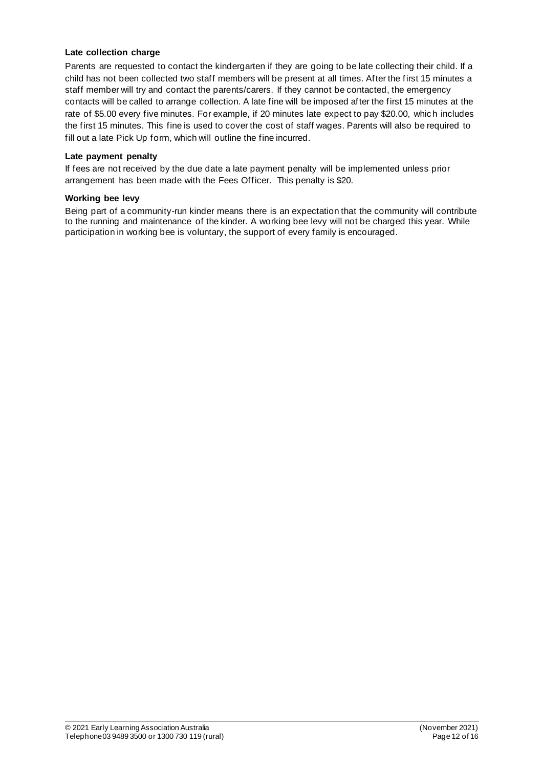#### **Late collection charge**

Parents are requested to contact the kindergarten if they are going to be late collecting their child. If a child has not been collected two staff members will be present at all times. After the first 15 minutes a staff member will try and contact the parents/carers. If they cannot be contacted, the emergency contacts will be called to arrange collection. A late fine will be imposed after the first 15 minutes at the rate of \$5.00 every five minutes. For example, if 20 minutes late expect to pay \$20.00, which includes the first 15 minutes. This fine is used to cover the cost of staff wages. Parents will also be required to fill out a late Pick Up form, which will outline the fine incurred.

#### **Late payment penalty**

If fees are not received by the due date a late payment penalty will be implemented unless prior arrangement has been made with the Fees Officer. This penalty is \$20.

#### **Working bee levy**

Being part of a community-run kinder means there is an expectation that the community will contribute to the running and maintenance of the kinder. A working bee levy will not be charged this year. While participation in working bee is voluntary, the support of every family is encouraged.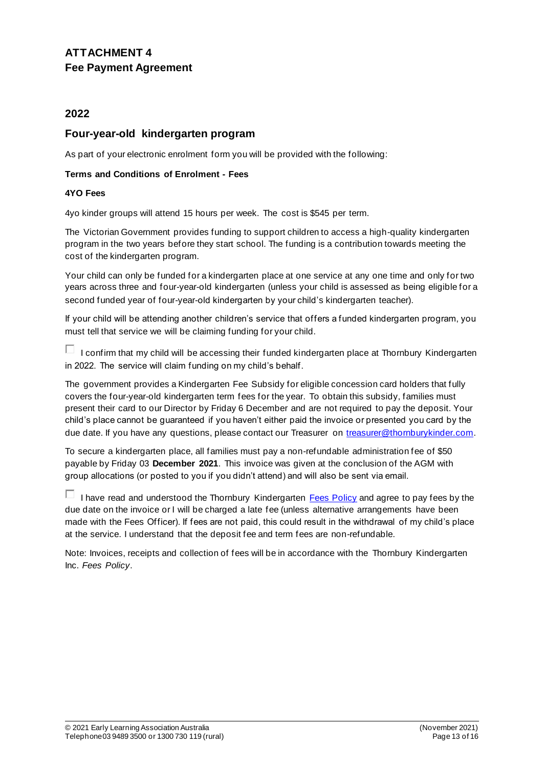# **ATTACHMENT 4 Fee Payment Agreement**

## **2022**

## **Four-year-old kindergarten program**

As part of your electronic enrolment form you will be provided with the following:

#### **Terms and Conditions of Enrolment - Fees**

#### **4YO Fees**

4yo kinder groups will attend 15 hours per week. The cost is \$545 per term.

The Victorian Government provides funding to support children to access a high-quality kindergarten program in the two years before they start school. The funding is a contribution towards meeting the cost of the kindergarten program.

Your child can only be funded for a kindergarten place at one service at any one time and only for two years across three and four-year-old kindergarten (unless your child is assessed as being eligible for a second funded year of four-year-old kindergarten by your child's kindergarten teacher).

If your child will be attending another children's service that offers a funded kindergarten program, you must tell that service we will be claiming funding for your child.

 $\Box$  I confirm that my child will be accessing their funded kindergarten place at Thornbury Kindergarten in 2022. The service will claim funding on my child's behalf.

The government provides a Kindergarten Fee Subsidy for eligible concession card holders that fully covers the four-year-old kindergarten term fees for the year. To obtain this subsidy, families must present their card to our Director by Friday 6 December and are not required to pay the deposit. Your child's place cannot be guaranteed if you haven't either paid the invoice or presented you card by the due date. If you have any questions, please contact our Treasurer on treasurer@thornburykinder.com.

To secure a kindergarten place, all families must pay a non-refundable administration fee of \$50 payable by Friday 03 **December 2021**. This invoice was given at the conclusion of the AGM with group allocations (or posted to you if you didn't attend) and will also be sent via email.

 $\Box$  I have read and understood the Thornbury Kindergarten Fees Policy and agree to pay fees by the due date on the invoice or I will be charged a late fee (unless alternative arrangements have been made with the Fees Officer). If fees are not paid, this could result in the withdrawal of my child's place at the service. I understand that the deposit fee and term fees are non-refundable.

Note: Invoices, receipts and collection of fees will be in accordance with the Thornbury Kindergarten Inc. *Fees Policy*.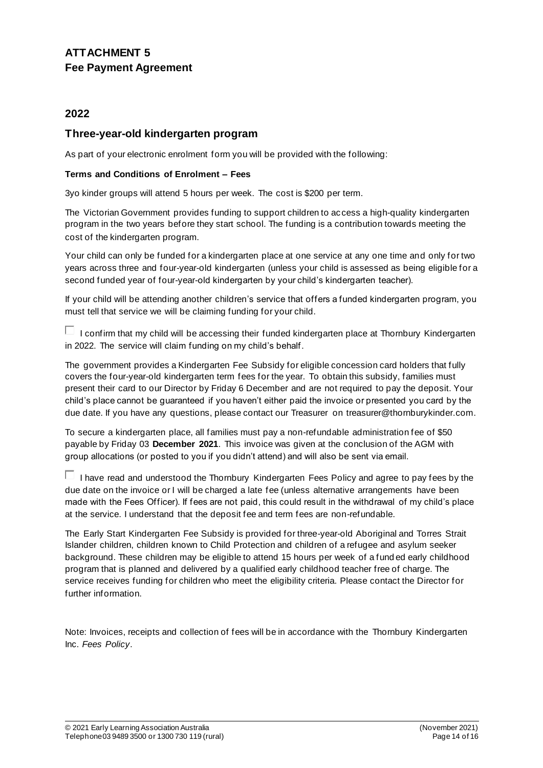# **ATTACHMENT 5 Fee Payment Agreement**

## **2022**

## **Three-year-old kindergarten program**

As part of your electronic enrolment form you will be provided with the following:

#### **Terms and Conditions of Enrolment – Fees**

3yo kinder groups will attend 5 hours per week. The cost is \$200 per term.

The Victorian Government provides funding to support children to access a high-quality kindergarten program in the two years before they start school. The funding is a contribution towards meeting the cost of the kindergarten program.

Your child can only be funded for a kindergarten place at one service at any one time and only for two years across three and four-year-old kindergarten (unless your child is assessed as being eligible for a second funded year of four-year-old kindergarten by your child's kindergarten teacher).

If your child will be attending another children's service that offers a funded kindergarten program, you must tell that service we will be claiming funding for your child.

 $\Box$  I confirm that my child will be accessing their funded kindergarten place at Thornbury Kindergarten in 2022. The service will claim funding on my child's behalf.

The government provides a Kindergarten Fee Subsidy for eligible concession card holders that fully covers the four-year-old kindergarten term fees for the year. To obtain this subsidy, families must present their card to our Director by Friday 6 December and are not required to pay the deposit. Your child's place cannot be guaranteed if you haven't either paid the invoice or presented you card by the due date. If you have any questions, please contact our Treasurer on treasurer@thornburykinder.com.

To secure a kindergarten place, all families must pay a non-refundable administration fee of \$50 payable by Friday 03 **December 2021**. This invoice was given at the conclusion of the AGM with group allocations (or posted to you if you didn't attend) and will also be sent via email.

 $\Box$  I have read and understood the Thornbury Kindergarten Fees Policy and agree to pay fees by the due date on the invoice or I will be charged a late fee (unless alternative arrangements have been made with the Fees Officer). If fees are not paid, this could result in the withdrawal of my child's place at the service. I understand that the deposit fee and term fees are non-refundable.

The Early Start Kindergarten Fee Subsidy is provided for three-year-old Aboriginal and Torres Strait Islander children, children known to Child Protection and children of a refugee and asylum seeker background. These children may be eligible to attend 15 hours per week of a fund ed early childhood program that is planned and delivered by a qualified early childhood teacher free of charge. The service receives funding for children who meet the eligibility criteria. Please contact the Director for further information.

Note: Invoices, receipts and collection of fees will be in accordance with the Thornbury Kindergarten Inc. *Fees Policy*.